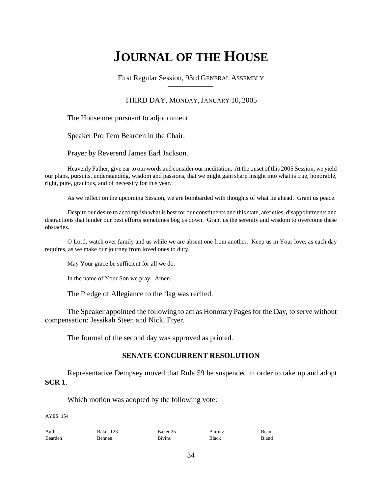# **JOURNAL OF THE HOUSE**

First Regular Session, 93rd GENERAL ASSEMBLY

# THIRD DAY, MONDAY, JANUARY 10, 2005

The House met pursuant to adjournment.

Speaker Pro Tem Bearden in the Chair.

Prayer by Reverend James Earl Jackson.

Heavenly Father, give ear to our words and consider our meditation. At the onset of this 2005 Session, we yield our plans, pursuits, understanding, wisdom and passions, that we might gain sharp insight into what is true, honorable, right, pure, gracious, and of necessity for this year.

As we reflect on the upcoming Session, we are bombarded with thoughts of what lie ahead. Grant us peace.

Despite our desire to accomplish what is best for our constituents and this state, anxieties, disappointments and distractions that hinder our best efforts sometimes bog us down. Grant us the serenity and wisdom to overcome these obstacles.

O Lord, watch over family and us while we are absent one from another. Keep us in Your love, as each day requires, as we make our journey from loved ones to duty.

May Your grace be sufficient for all we do.

In the name of Your Son we pray. Amen.

The Pledge of Allegiance to the flag was recited.

The Speaker appointed the following to act as Honorary Pages for the Day, to serve without compensation: Jessikah Steen and Nicki Fryer.

The Journal of the second day was approved as printed.

# **SENATE CONCURRENT RESOLUTION**

Representative Dempsey moved that Rule 59 be suspended in order to take up and adopt **SCR 1**.

Which motion was adopted by the following vote:

AYES: 154

| Aull    | Baker 123 | Baker 25      | Barnitz | Bean  |
|---------|-----------|---------------|---------|-------|
| Bearden | Behnen    | <b>Bivins</b> | Black   | Bland |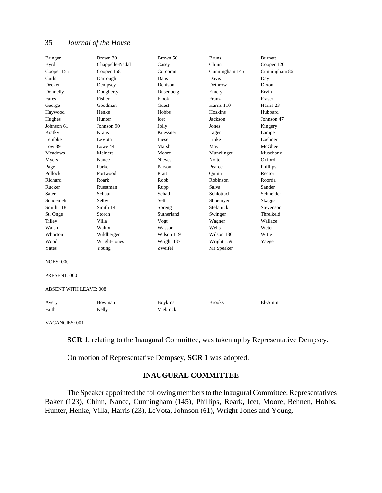# 35 *Journal of the House*

| <b>Bringer</b>                | Brown 30        | Brown 50       | <b>Bruns</b>   | Burnett       |  |  |
|-------------------------------|-----------------|----------------|----------------|---------------|--|--|
| <b>Byrd</b>                   | Chappelle-Nadal | Casey          | Chinn          | Cooper 120    |  |  |
| Cooper 155                    | Cooper 158      | Corcoran       | Cunningham 145 | Cunningham 86 |  |  |
| Curls                         | Darrough        | Daus           | Davis          | Day           |  |  |
| Deeken                        | Dempsey         | Denison        | Dethrow        | Dixon         |  |  |
| Donnelly                      | Dougherty       | Dusenberg      | Emery          | Ervin         |  |  |
| Fares                         | Fisher          | Flook          | Franz          | Fraser        |  |  |
| George                        | Goodman         | Guest          | Harris 110     | Harris 23     |  |  |
| Haywood                       | Henke           | <b>Hobbs</b>   | Hoskins        | Hubbard       |  |  |
| Hughes                        | Hunter          | <b>Icet</b>    | Jackson        | Johnson 47    |  |  |
| Johnson 61                    | Johnson 90      | Jolly          | Jones          | Kingery       |  |  |
| Kratky                        | Kraus           | Kuessner       | Lager          | Lampe         |  |  |
| Lembke                        | LeVota          | Liese          | Lipke          | Loehner       |  |  |
| Low 39                        | Lowe 44         | Marsh          | May            | McGhee        |  |  |
| <b>Meadows</b>                | Meiners         | Moore          | Munzlinger     | Muschany      |  |  |
| Myers                         | Nance           | <b>Nieves</b>  | Nolte          | Oxford        |  |  |
| Page                          | Parker          | Parson         | Pearce         | Phillips      |  |  |
| Pollock                       | Portwood        | Pratt          | Ouinn          | Rector        |  |  |
| Richard                       | Roark           | Robb           | Robinson       | Roorda        |  |  |
| Rucker                        | Ruestman        | Rupp           | Salva          | Sander        |  |  |
| Sater                         | Schaaf          | Schad          | Schlottach     | Schneider     |  |  |
| Schoemehl                     | Selby           | Self           | Shoemyer       | <b>Skaggs</b> |  |  |
| Smith 118                     | Smith 14        | Spreng         | Stefanick      | Stevenson     |  |  |
| St. Onge                      | Storch          | Sutherland     | Swinger        | Threlkeld     |  |  |
| Tilley                        | Villa           | Vogt           | Wagner         | Wallace       |  |  |
| Walsh                         | Walton          | Wasson         | Wells          | Weter         |  |  |
| Whorton                       | Wildberger      | Wilson 119     | Wilson 130     | Witte         |  |  |
| Wood                          | Wright-Jones    | Wright 137     | Wright 159     | Yaeger        |  |  |
| Yates                         | Young           | Zweifel        | Mr Speaker     |               |  |  |
| <b>NOES: 000</b>              |                 |                |                |               |  |  |
| PRESENT: 000                  |                 |                |                |               |  |  |
| <b>ABSENT WITH LEAVE: 008</b> |                 |                |                |               |  |  |
| Avery                         | Bowman          | <b>Boykins</b> | <b>Brooks</b>  | El-Amin       |  |  |
| Faith                         | Kelly           | Viebrock       |                |               |  |  |
|                               |                 |                |                |               |  |  |

VACANCIES: 001

**SCR 1**, relating to the Inaugural Committee, was taken up by Representative Dempsey.

On motion of Representative Dempsey, **SCR 1** was adopted.

# **INAUGURAL COMMITTEE**

The Speaker appointed the following members to the Inaugural Committee: Representatives Baker (123), Chinn, Nance, Cunningham (145), Phillips, Roark, Icet, Moore, Behnen, Hobbs, Hunter, Henke, Villa, Harris (23), LeVota, Johnson (61), Wright-Jones and Young.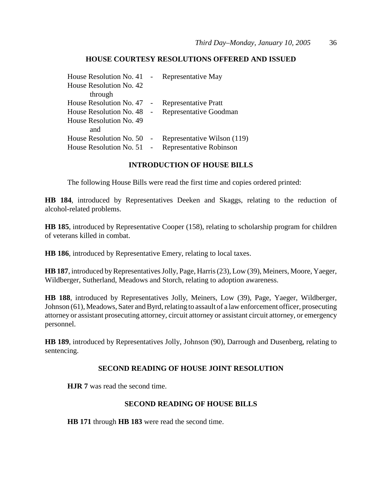# **HOUSE COURTESY RESOLUTIONS OFFERED AND ISSUED**

| House Resolution No. 41 - Representative May |                             |
|----------------------------------------------|-----------------------------|
| House Resolution No. 42                      |                             |
| through                                      |                             |
| House Resolution No. 47 -                    | <b>Representative Pratt</b> |
| House Resolution No. 48 -                    | Representative Goodman      |
| House Resolution No. 49                      |                             |
| and                                          |                             |
| House Resolution No. $50 -$                  | Representative Wilson (119) |
| House Resolution No. $51 -$                  | Representative Robinson     |

#### **INTRODUCTION OF HOUSE BILLS**

The following House Bills were read the first time and copies ordered printed:

**HB 184**, introduced by Representatives Deeken and Skaggs, relating to the reduction of alcohol-related problems.

**HB 185**, introduced by Representative Cooper (158), relating to scholarship program for children of veterans killed in combat.

**HB 186**, introduced by Representative Emery, relating to local taxes.

**HB 187**, introduced by Representatives Jolly, Page, Harris (23), Low (39), Meiners, Moore, Yaeger, Wildberger, Sutherland, Meadows and Storch, relating to adoption awareness.

**HB 188**, introduced by Representatives Jolly, Meiners, Low (39), Page, Yaeger, Wildberger, Johnson (61), Meadows, Sater and Byrd, relating to assault of a law enforcement officer, prosecuting attorney or assistant prosecuting attorney, circuit attorney or assistant circuit attorney, or emergency personnel.

**HB 189**, introduced by Representatives Jolly, Johnson (90), Darrough and Dusenberg, relating to sentencing.

#### **SECOND READING OF HOUSE JOINT RESOLUTION**

**HJR 7** was read the second time.

#### **SECOND READING OF HOUSE BILLS**

**HB 171** through **HB 183** were read the second time.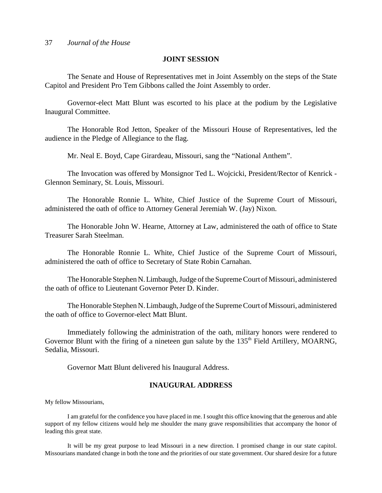#### **JOINT SESSION**

The Senate and House of Representatives met in Joint Assembly on the steps of the State Capitol and President Pro Tem Gibbons called the Joint Assembly to order.

Governor-elect Matt Blunt was escorted to his place at the podium by the Legislative Inaugural Committee.

The Honorable Rod Jetton, Speaker of the Missouri House of Representatives, led the audience in the Pledge of Allegiance to the flag.

Mr. Neal E. Boyd, Cape Girardeau, Missouri, sang the "National Anthem".

The Invocation was offered by Monsignor Ted L. Wojcicki, President/Rector of Kenrick - Glennon Seminary, St. Louis, Missouri.

The Honorable Ronnie L. White, Chief Justice of the Supreme Court of Missouri, administered the oath of office to Attorney General Jeremiah W. (Jay) Nixon.

The Honorable John W. Hearne, Attorney at Law, administered the oath of office to State Treasurer Sarah Steelman.

The Honorable Ronnie L. White, Chief Justice of the Supreme Court of Missouri, administered the oath of office to Secretary of State Robin Carnahan.

The Honorable Stephen N. Limbaugh, Judge of the Supreme Court of Missouri, administered the oath of office to Lieutenant Governor Peter D. Kinder.

The Honorable Stephen N. Limbaugh, Judge of the Supreme Court of Missouri, administered the oath of office to Governor-elect Matt Blunt.

Immediately following the administration of the oath, military honors were rendered to Governor Blunt with the firing of a nineteen gun salute by the 135<sup>th</sup> Field Artillery, MOARNG, Sedalia, Missouri.

Governor Matt Blunt delivered his Inaugural Address.

#### **INAUGURAL ADDRESS**

My fellow Missourians,

I am grateful for the confidence you have placed in me. I sought this office knowing that the generous and able support of my fellow citizens would help me shoulder the many grave responsibilities that accompany the honor of leading this great state.

It will be my great purpose to lead Missouri in a new direction. I promised change in our state capitol. Missourians mandated change in both the tone and the priorities of our state government. Our shared desire for a future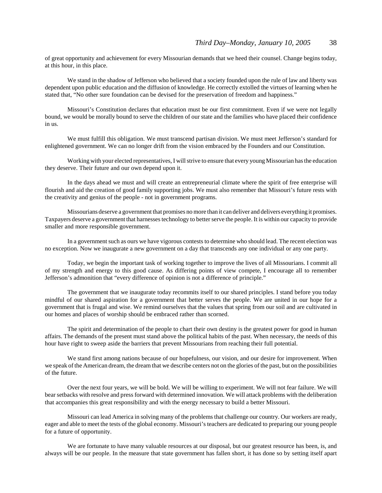of great opportunity and achievement for every Missourian demands that we heed their counsel. Change begins today, at this hour, in this place.

We stand in the shadow of Jefferson who believed that a society founded upon the rule of law and liberty was dependent upon public education and the diffusion of knowledge. He correctly extolled the virtues of learning when he stated that, "No other sure foundation can be devised for the preservation of freedom and happiness."

Missouri's Constitution declares that education must be our first commitment. Even if we were not legally bound, we would be morally bound to serve the children of our state and the families who have placed their confidence in us.

We must fulfill this obligation. We must transcend partisan division. We must meet Jefferson's standard for enlightened government. We can no longer drift from the vision embraced by the Founders and our Constitution.

Working with your elected representatives, I will strive to ensure that every young Missourian has the education they deserve. Their future and our own depend upon it.

In the days ahead we must and will create an entrepreneurial climate where the spirit of free enterprise will flourish and aid the creation of good family supporting jobs. We must also remember that Missouri's future rests with the creativity and genius of the people - not in government programs.

Missourians deserve a government that promises no more than it can deliver and delivers everything it promises. Taxpayers deserve a government that harnesses technology to better serve the people. It is within our capacity to provide smaller and more responsible government.

In a government such as ours we have vigorous contests to determine who should lead. The recent election was no exception. Now we inaugurate a new government on a day that transcends any one individual or any one party.

Today, we begin the important task of working together to improve the lives of all Missourians. I commit all of my strength and energy to this good cause. As differing points of view compete, I encourage all to remember Jefferson's admonition that "every difference of opinion is not a difference of principle."

The government that we inaugurate today recommits itself to our shared principles. I stand before you today mindful of our shared aspiration for a government that better serves the people. We are united in our hope for a government that is frugal and wise. We remind ourselves that the values that spring from our soil and are cultivated in our homes and places of worship should be embraced rather than scorned.

The spirit and determination of the people to chart their own destiny is the greatest power for good in human affairs. The demands of the present must stand above the political habits of the past. When necessary, the needs of this hour have right to sweep aside the barriers that prevent Missourians from reaching their full potential.

We stand first among nations because of our hopefulness, our vision, and our desire for improvement. When we speak of the American dream, the dream that we describe centers not on the glories of the past, but on the possibilities of the future.

Over the next four years, we will be bold. We will be willing to experiment. We will not fear failure. We will bear setbacks with resolve and press forward with determined innovation. We will attack problems with the deliberation that accompanies this great responsibility and with the energy necessary to build a better Missouri.

Missouri can lead America in solving many of the problems that challenge our country. Our workers are ready, eager and able to meet the tests of the global economy. Missouri's teachers are dedicated to preparing our young people for a future of opportunity.

We are fortunate to have many valuable resources at our disposal, but our greatest resource has been, is, and always will be our people. In the measure that state government has fallen short, it has done so by setting itself apart